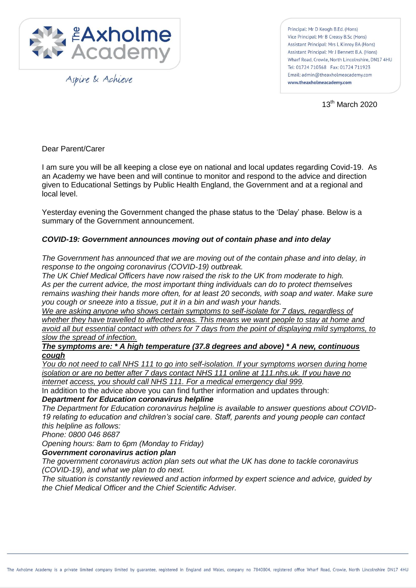

Aspire & Achieve

Principal: Mr D Keogh B.Ed. (Hons) Vice Principal: Mr B Creasy B.Sc (Hons) Assistant Principal: Mrs L Kinroy BA (Hons) Assistant Principal: Mr J Bennett B.A. (Hons) Wharf Road, Crowle, North Lincolnshire, DN17 4HU Tel: 01724 710368 Fax: 01724 711923 Email: admin@theaxholmeacademy.com www.theaxholmeacademy.com

13th March 2020

Dear Parent/Carer

I am sure you will be all keeping a close eye on national and local updates regarding Covid-19. As an Academy we have been and will continue to monitor and respond to the advice and direction given to Educational Settings by Public Health England, the Government and at a regional and local level.

Yesterday evening the Government changed the phase status to the 'Delay' phase. Below is a summary of the Government announcement.

## *COVID-19: Government announces moving out of contain phase and into delay*

*The Government has announced that we are moving out of the contain phase and into delay, in response to the ongoing coronavirus (COVID-19) outbreak.*

*The UK Chief Medical Officers have now raised the risk to the UK from moderate to high. As per the current advice, the most important thing individuals can do to protect themselves remains washing their hands more often, for at least 20 seconds, with soap and water. Make sure you cough or sneeze into a tissue, put it in a bin and wash your hands.*

*We are asking anyone who shows certain symptoms to self-isolate for 7 days, regardless of whether they have travelled to affected areas. This means we want people to stay at home and avoid all but essential contact with others for 7 days from the point of displaying mild symptoms, to slow the spread of infection.*

## *The symptoms are: \* A high temperature (37.8 degrees and above) \* A new, continuous cough*

*You do not need to call NHS 111 to go into self-isolation. If your symptoms worsen during home isolation or are no better after 7 days contact NHS 111 online at 111.nhs.uk. If you have no internet access, you should call NHS 111. For a medical emergency dial 999.*

In addition to the advice above you can find further information and updates through:

## *Department for Education coronavirus helpline*

*The Department for Education coronavirus helpline is available to answer questions about COVID-19 relating to education and children's social care. Staff, parents and young people can contact this helpline as follows:*

*Phone: 0800 046 8687*

*Opening hours: 8am to 6pm (Monday to Friday)*

## *Government coronavirus action plan*

*The government coronavirus action plan sets out what the UK has done to tackle coronavirus (COVID-19), and what we plan to do next.*

*The situation is constantly reviewed and action informed by expert science and advice, guided by the Chief Medical Officer and the Chief Scientific Adviser.*